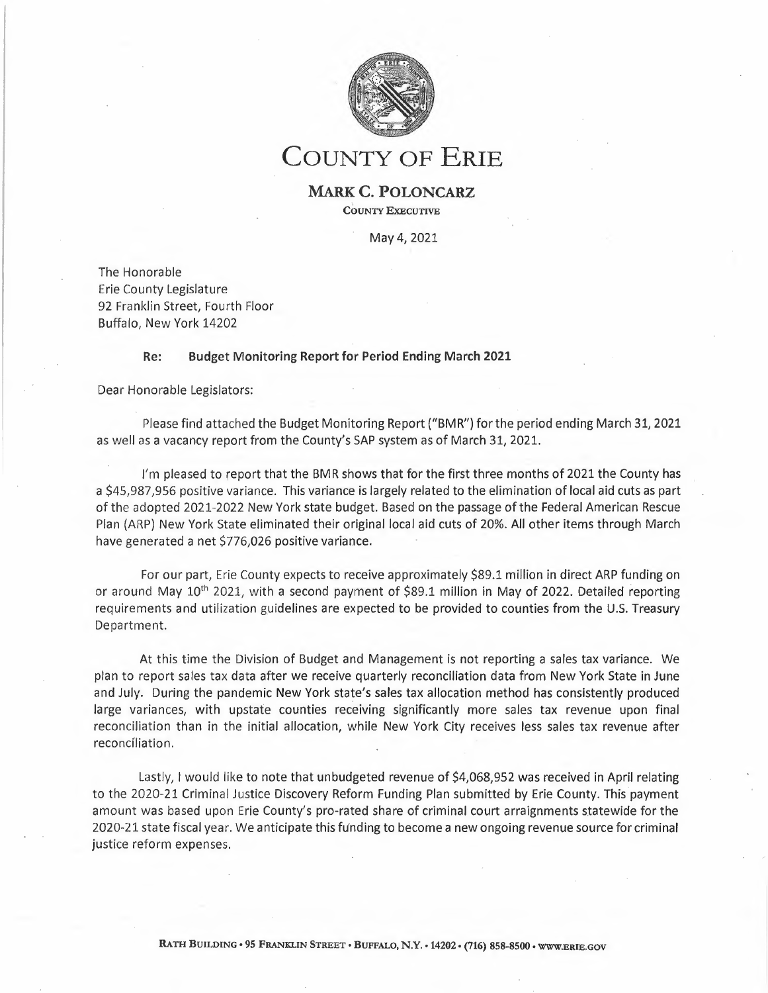

# **COUNTY OF ERIE**

### **MARK C. POLONCARZ COUNTY EXECUTIVE**

May 4, 2021

The Honorable Erie County Legislature 92 Franklin Street, Fourth Floor Buffalo, New York 14202

#### **Re: Budget Monitoring Report for Period Ending March 2021**

Dear Honorable Legislators:

Please find attached the Budget Monitoring Report ("BMR") for the period ending March 31, 2021 as well as a vacancy report from the County's SAP system as of March 31, 2021.

<sup>I</sup>'m pleased to report that the BMR shows that for the first three months of 2021 the County has a \$45,987,956 positive variance. This variance is largely related to the elimination of local aid cuts as part of the adopted 2021-2022 New York state budget. Based on the passage of the Federal American Rescue Plan (ARP) New York State eliminated their original local aid cuts of 20%. All other items through March have generated a net \$776,026 positive variance.

For our part, Erie County expects to receive approximately \$89.1 million in direct ARP funding on or around May 10<sup>th</sup> 2021, with a second payment of \$89.1 million in May of 2022. Detailed reporting requirements and utilization guidelines are expected to be provided to counties from the U.S. Treasury Department.

At this time the Division of Budget and Management is not reporting a sales tax variance. We plan to report sales tax data after we receive quarterly reconciliation data from New York State in June and July. During the pandemic New York state's sales tax allocation method has consistently produced large variances, with upstate counties receiving significantly more sales tax revenue upon final reconciliation than in the initial allocation, while New York City receives less sales tax revenue after reconcíliation.

Lastly, I would like to note that unbudgeted revenue of \$4,068,952 was received in April relating to the 2020-21 Criminal Justice Discovery Reform Funding Plan submitted by Erie County. This payment amount was based upon Erie County's pro-rated share of criminal court arraignments statewide for the 2020-21 state fiscal year. We anticipate this fúnding to become a new ongoing revenue source for criminal justice reform expenses.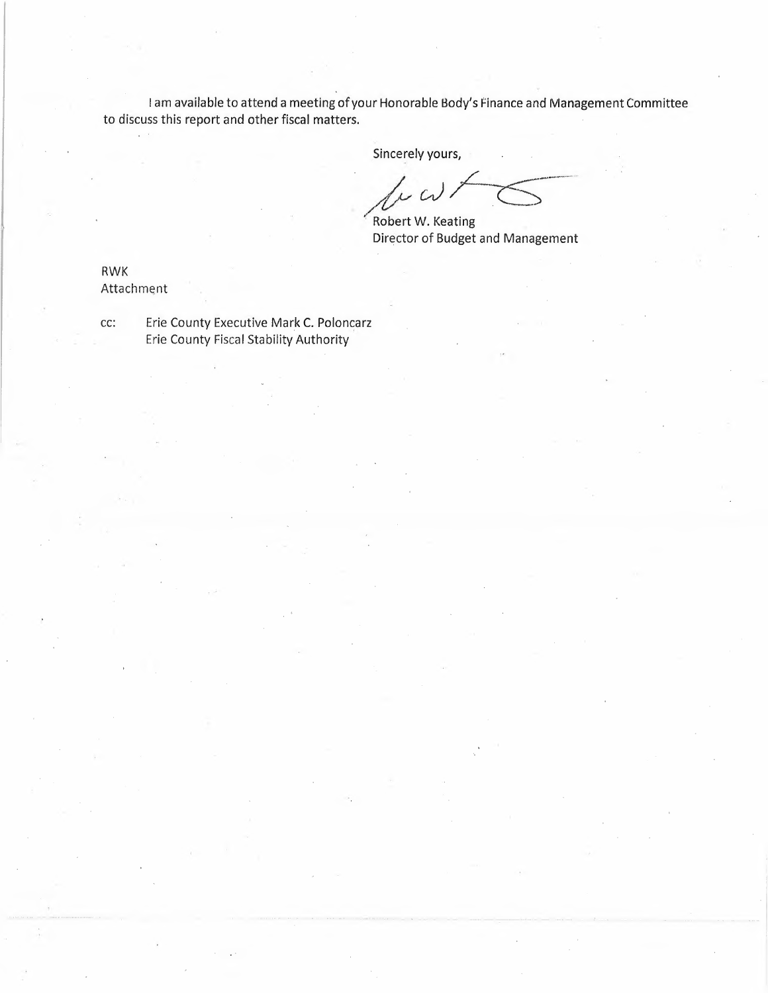I am available to attend a meeting of your Honorable Body's Finance and Management Committee to discuss this report and other fiscal matters.

Sincerely yours,

*cerely yours, <i>/v cv* / C

Director of Budget and Management

RWK Attachment

cc: Erie County Executive Mark C. Poloncarz Erie County Fiscal Stability Authority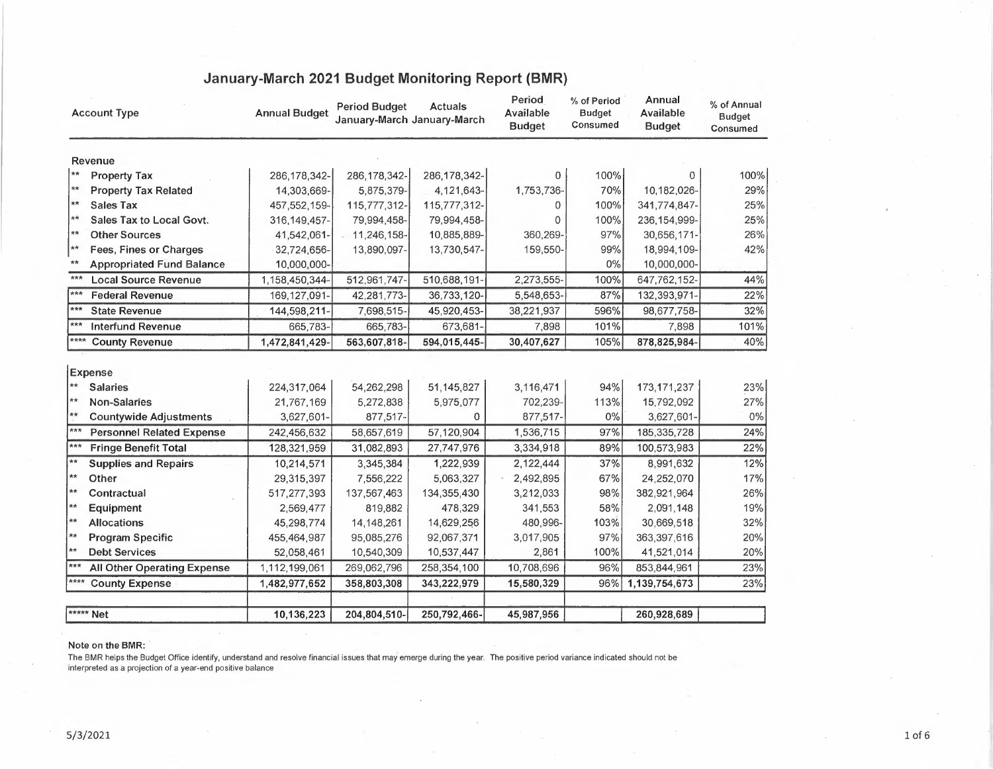| <b>Account Type</b>                         | <b>Annual Budget</b> | <b>Period Budget</b><br>January-March January-March | <b>Actuals</b> | Period<br>Available<br><b>Budget</b> | % of Period<br><b>Budget</b><br>Consumed | Annual<br>Available<br><b>Budget</b> | % of Annual<br><b>Budget</b><br>Consumed |
|---------------------------------------------|----------------------|-----------------------------------------------------|----------------|--------------------------------------|------------------------------------------|--------------------------------------|------------------------------------------|
| Revenue                                     |                      |                                                     |                |                                      |                                          |                                      |                                          |
| $**$<br><b>Property Tax</b>                 | 286, 178, 342-       | 286, 178, 342-                                      | 286, 178, 342- | 0                                    | 100%                                     | 0                                    | 100%                                     |
| **<br><b>Property Tax Related</b>           | 14,303,669-          | 5,875,379-                                          | 4,121,643-     | 1,753,736-                           | 70%                                      | 10,182,026-                          | 29%                                      |
| $**$<br><b>Sales Tax</b>                    | 457, 552, 159-       | 115,777,312-                                        | 115,777,312-   | 0                                    | 100%                                     | 341,774,847-                         | 25%                                      |
| $\star\star$<br>Sales Tax to Local Govt.    | 316, 149, 457-       | 79,994,458-                                         | 79,994,458-    | 0                                    | 100%                                     | 236, 154, 999-                       | 25%                                      |
| $**$<br><b>Other Sources</b>                | 41,542,061-          | 11,246,158-                                         | 10,885,889-    | 360,269-                             | 97%                                      | 30,656,171-                          | 26%                                      |
| **<br>Fees, Fines or Charges                | 32,724,656-          | 13,890,097-                                         | 13,730,547-    | 159,550-                             | 99%                                      | 18,994,109-                          | 42%                                      |
| $**$<br><b>Appropriated Fund Balance</b>    | 10,000,000-          |                                                     |                |                                      | 0%                                       | 10,000,000-                          |                                          |
| ***<br><b>Local Source Revenue</b>          | 1,158,450,344-       | 512,961,747-                                        | 510,688,191-   | 2,273,555-                           | 100%                                     | 647,762,152-                         | 44%                                      |
| ***<br><b>Federal Revenue</b>               | 169,127,091-         | 42,281,773-                                         | 36,733,120-    | 5,548,653-                           | 87%                                      | 132,393,971-                         | 22%                                      |
| ***<br><b>State Revenue</b>                 | 144,598,211-         | 7,698,515-                                          | 45,920,453-    | 38,221,937                           | 596%                                     | 98,677,758-                          | 32%                                      |
| ***<br><b>Interfund Revenue</b>             | 665,783-             | 665,783-                                            | 673,681-       | 7,898                                | 101%                                     | 7,898                                | 101%                                     |
| ****<br><b>County Revenue</b>               | 1,472,841,429-       | 563,607,818-                                        | 594,015,445-   | 30,407,627                           | 105%                                     | 878,825,984-                         | 40%                                      |
| <b>Expense</b>                              |                      |                                                     |                |                                      |                                          |                                      |                                          |
| $**$<br><b>Salaries</b>                     | 224,317,064          | 54,262,298                                          | 51,145,827     | 3,116,471                            | 94%                                      | 173, 171, 237                        | 23%                                      |
| $**$<br><b>Non-Salaries</b>                 | 21,767,169           | 5,272,838                                           | 5,975,077      | 702,239-                             | 113%                                     | 15,792,092                           | 27%                                      |
| $**$<br><b>Countywide Adjustments</b>       | 3,627,601-           | 877,517-                                            | $\Omega$       | 877,517-                             | $0\%$                                    | 3,627,601-                           | $0\%$                                    |
| ***<br><b>Personnel Related Expense</b>     | 242,456,632          | 58,657,619                                          | 57,120,904     | 1,536,715                            | 97%                                      | 185,335,728                          | 24%                                      |
| $***$<br><b>Fringe Benefit Total</b>        | 128,321,959          | 31,082,893                                          | 27,747,976     | 3,334,918                            | 89%                                      | 100,573,983                          | 22%                                      |
| $\star\star$<br><b>Supplies and Repairs</b> | 10,214,571           | 3,345,384                                           | 1,222,939      | 2,122,444                            | 37%                                      | 8,991,632                            | 12%                                      |
| $**$<br>Other                               | 29,315,397           | 7,556,222                                           | 5,063,327      | 2,492,895                            | 67%                                      | 24,252,070                           | 17%                                      |
| $**$<br>Contractual                         | 517,277,393          | 137,567,463                                         | 134,355,430    | 3,212,033                            | 98%                                      | 382,921,964                          | 26%                                      |
| $**$<br>Equipment                           | 2,569,477            | 819,882                                             | 478,329        | 341,553                              | 58%                                      | 2,091,148                            | 19%                                      |
| $\star\star$<br><b>Allocations</b>          | 45,298,774           | 14,148,261                                          | 14,629,256     | 480,996-                             | 103%                                     | 30,669,518                           | 32%                                      |
| $**$<br><b>Program Specific</b>             | 455,464,987          | 95,085,276                                          | 92,067,371     | 3,017,905                            | 97%                                      | 363,397,616                          | 20%                                      |
| $**$<br><b>Debt Services</b>                | 52,058,461           | 10,540,309                                          | 10,537,447     | 2,861                                | 100%                                     | 41,521,014                           | 20%                                      |
| $***$<br><b>All Other Operating Expense</b> | 1,112,199,061        | 269,062,796                                         | 258,354,100    | 10,708,696                           | 96%                                      | 853,844,961                          | 23%                                      |
| ****<br><b>County Expense</b>               | 1,482,977,652        | 358,803,308                                         | 343,222,979    | 15,580,329                           | 96%                                      | 1,139,754,673                        | 23%                                      |
|                                             |                      |                                                     |                |                                      |                                          |                                      |                                          |
| ***** Net                                   | 10,136,223           | 204,804,510-                                        | 250,792,466-   | 45,987,956                           |                                          | 260,928,689                          |                                          |

## **January-March 2021 Budget Monitoring Report (BMR)**

#### Note on the BMR:

The BMR helps the Budget Office identify, understand and resolve financial issues that may emerge during the year. The positive period variance indicated should not be interpreted as a projection of a year-end positive balance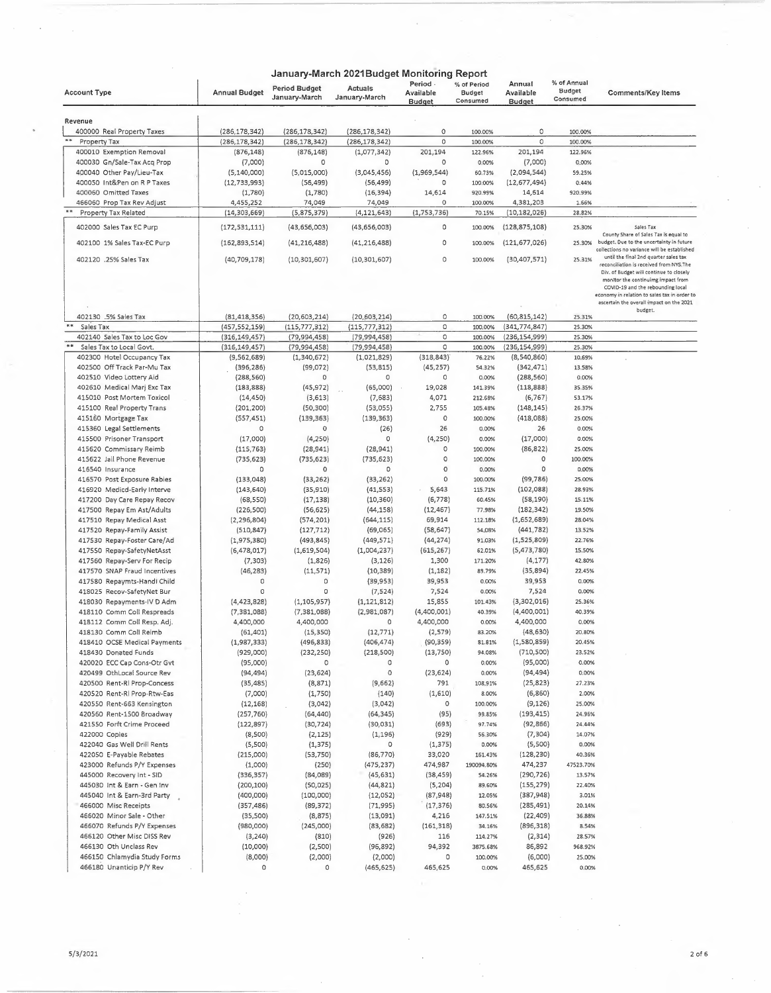|                                     |                      |                                       | January-March 2021Budget Monitoring Report |                                        |                                          |                                      |                                          |                                                                                                                                                                     |
|-------------------------------------|----------------------|---------------------------------------|--------------------------------------------|----------------------------------------|------------------------------------------|--------------------------------------|------------------------------------------|---------------------------------------------------------------------------------------------------------------------------------------------------------------------|
| <b>Account Type</b>                 | <b>Annual Budget</b> | <b>Period Budget</b><br>January-March | Actuals<br>January-March                   | Period -<br>Available<br><b>Budget</b> | % of Period<br><b>Budget</b><br>Consumed | Annual<br>Available<br><b>Budget</b> | % of Annual<br><b>Budget</b><br>Consumed | <b>Comments/Key Items</b>                                                                                                                                           |
| Revenue                             |                      |                                       |                                            |                                        |                                          |                                      |                                          |                                                                                                                                                                     |
| 400000 Real Property Taxes          | (286, 178, 342)      | (286, 178, 342)                       | (286, 178, 342)                            | 0                                      | 100.00%                                  | 0                                    | 100.00%                                  |                                                                                                                                                                     |
| Property Tax                        | (286, 178, 342)      | (286, 178, 342)                       | (286, 178, 342)                            | 0                                      | 100.00%                                  | 0                                    | 100.00%                                  |                                                                                                                                                                     |
| 400010 Exemption Removal            | (876, 148)           | (876, 148)                            | (1,077,342)                                | 201,194                                | 122.96%                                  | 201,194                              | 122.96%                                  |                                                                                                                                                                     |
| 400030 Gn/Sale-Tax Acq Prop         | (7,000)              | 0                                     | 0                                          | 0                                      | 0.00%                                    | (7,000)                              | 0.00%                                    |                                                                                                                                                                     |
| 400040 Other Pay/Lieu-Tax           | (5, 140, 000)        | (5,015,000)                           | (3,045,456)                                | (1,969,544)                            | 60.73%                                   | (2,094,544)                          | 59.25%                                   |                                                                                                                                                                     |
| 400050 Int&Pen on R P Taxes         | (12, 733, 993)       | (56, 499)                             | (56, 499)                                  | O                                      | 100.00%                                  | (12,677,494)                         | 0.44%                                    |                                                                                                                                                                     |
| 400060 Omitted Taxes                | (1,780)              | (1,780)                               | (16, 394)                                  | 14,614                                 | 920.99%                                  | 14,614                               | 920.99%                                  |                                                                                                                                                                     |
| 466060 Prop Tax Rev Adjust          | 4,455,252            | 74,049                                | 74,049                                     | 0                                      | 100.00%                                  | 4,381,203                            | 1.66%                                    |                                                                                                                                                                     |
| Property Tax Related                | (14, 303, 669)       | (5,875,379)                           | (4, 121, 643)                              | (1,753,736)                            | 70.15%                                   | (10, 182, 026)                       | 28.82%                                   |                                                                                                                                                                     |
| 402000 Sales Tax EC Purp            | (172, 531, 111)      | (43, 656, 003)                        | (43,656,003)                               | 0                                      | 100.00%                                  | (128, 875, 108)                      | 25.30%                                   | Sales Tax<br>County Share of Sales Tax is equal to                                                                                                                  |
| 402100 1% Sales Tax-EC Purp         | (162, 893, 514)      | (41, 216, 488)                        | (41, 216, 488)                             | 0                                      | 100.00%                                  | (121, 677, 026)                      | 25.30%                                   | budget. Due to the uncertainty in future<br>collections no variance will be established                                                                             |
| 402120 .25% Sales Tax               | (40, 709, 178)       | (10, 301, 607)                        | (10, 301, 607)                             | 0                                      | 100.00%                                  | (30, 407, 571)                       | 25.31%                                   | until the final 2nd quarter sales tax<br>reconciliation is received from NYS.The<br>Div. of Budget will continue to closely                                         |
|                                     |                      |                                       |                                            |                                        |                                          |                                      |                                          | monitor the continuimg impact from<br>COVID-19 and the rebounding local<br>economy in relation to sales tax in order to<br>ascertain the overall impact on the 2021 |
| 402130 .5% Sales Tax                | (81, 418, 356)       | (20, 603, 214)                        | (20, 603, 214)                             | 0                                      | 100.00%                                  | (60, 815, 142)                       | 25.31%                                   | budget.                                                                                                                                                             |
| $\pmb{\ast}\pmb{\ast}$<br>Sales Tax | (457,552,159)        | (115, 777, 312)                       | (115, 777, 312)                            | O                                      | 100.00%                                  | (341,774,847)                        | 25.30%                                   |                                                                                                                                                                     |
| 402140 Sales Tax to Loc Gov         | (316,149,457)        | (79,994,458)                          | (79, 994, 458)                             | 0                                      | 100.00%                                  | (236,154,999)                        | 25.30%                                   |                                                                                                                                                                     |
| Sales Tax to Local Govt.            | (316, 149, 457)      | (79, 994, 458)                        | (79, 994, 458)                             | $\circ$                                | 100.00%                                  | (236,154,999)                        | 25.30%                                   |                                                                                                                                                                     |
| 402300 Hotel Occupancy Tax          | (9,562,689)          | (1,340,672)                           | (1,021,829)                                | (318, 843)                             | 76.22%                                   | (8,540,860)                          | 10.69%                                   |                                                                                                                                                                     |
| 402500 Off Track Par-Mu Tax         | (396, 286)           | (99,072)                              | (53, 815)                                  | (45, 257)                              | 54.32%                                   | (342, 471)                           | 13.58%                                   |                                                                                                                                                                     |
| 402510 Video Lottery Aid            | (288, 560)           | $\circ$                               | 0                                          | 0                                      | 0.00%                                    | (288, 560)                           | 0.00%                                    |                                                                                                                                                                     |
| 402610 Medical Marj Exc Tax         | (183, 888)           | (45, 972)                             | (65,000)                                   | 19,028                                 | 141.39%                                  | (118, 888)                           | 35.35%                                   |                                                                                                                                                                     |
| 415010 Post Mortem Toxicol          | (14, 450)            | (3,613)                               | (7,683)                                    | 4,071                                  | 212.68%                                  | (6, 767)                             | 53.17%                                   |                                                                                                                                                                     |
| 415100 Real Property Trans          | (201, 200)           | (50, 300)                             | (53,055)                                   | 2,755                                  | 105.48%                                  | (148, 145)                           | 26.37%                                   |                                                                                                                                                                     |
| 415160 Mortgage Tax                 | (557, 451)           | (139, 363)                            | (139, 363)                                 | $\circ$                                | 100.00%                                  | (418,088)                            | 25.00%                                   |                                                                                                                                                                     |
| 415360 Legal Settlements            | 0                    | 0                                     | (26)                                       | 26                                     | 0.00%                                    | 26                                   | 0.00%                                    |                                                                                                                                                                     |
| 415500 Prisoner Transport           | (17,000)             | (4, 250)                              | 0                                          | (4, 250)                               | 0.00%                                    | (17,000)                             | 0.00%                                    |                                                                                                                                                                     |
| 415620 Commissary Reimb             | (115, 763)           | (28, 941)                             | (28, 941)                                  | 0                                      | 100.00%                                  | (86, 822)                            | 25.00%                                   |                                                                                                                                                                     |
| 415622 Jail Phone Revenue           | (735, 623)           | (735, 623)                            | (735, 623)                                 | 0                                      | 100.00%                                  | 0                                    | 100.00%                                  |                                                                                                                                                                     |
| 416540 Insurance                    | 0                    | 0                                     | 0                                          | 0                                      | 0.00%                                    | 0                                    | 0.00%                                    |                                                                                                                                                                     |
| 416570 Post Exposure Rabies         | (133, 048)           | (33, 262)                             | (33, 262)                                  | 0                                      | 100.00%                                  | (99, 786)                            | 25.00%                                   |                                                                                                                                                                     |
| 416920 Medicd-Early Interve         | (143, 640)           | (35, 910)                             | (41, 553)                                  | 5,643                                  | 115.71%                                  | (102, 088)                           | 28.93%                                   |                                                                                                                                                                     |
| 417200 Day Care Repay Recov         | (68, 550)            | (17, 138)                             | (10, 360)                                  | (6, 778)                               | 60.45%                                   | (58, 190)                            | 15.11%                                   |                                                                                                                                                                     |
| 417500 Repay Em Ast/Adults          | (226, 500)           | (56, 625)                             | (44, 158)                                  | (12, 467)                              | 77.98%                                   | (182, 342)                           | 19.50%                                   |                                                                                                                                                                     |
| 417510 Repay Medical Asst           | (2, 296, 804)        | (574, 201)                            | (644, 115)                                 | 69,914                                 | 112.18%                                  | (1,652,689)                          | 28.04%                                   |                                                                                                                                                                     |
| 417520 Repay-Family Assist          | (510, 847)           | (127, 712)                            | (69,065)                                   | (58, 647)                              | 54.08%                                   | (441, 782)                           | 13.52%                                   |                                                                                                                                                                     |
| 417530 Repay-Foster Care/Ad         | (1,975,380)          | (493, 845)                            | (449, 571)                                 | (44, 274)                              | 91.03%                                   | (1,525,809)                          | 22.76%                                   |                                                                                                                                                                     |
| 417550 Repay-SafetyNetAsst          | (6,478,017)          | (1,619,504)                           | (1,004,237)                                | (615, 267)                             | 62.01%                                   | (5,473,780)                          | 15.50%                                   |                                                                                                                                                                     |
| 417560 Repay-Serv For Recip         | (7, 303)             | (1,826)                               | (3, 126)                                   | 1,300                                  | 171.20%                                  | (4, 177)                             | 42.80%                                   |                                                                                                                                                                     |
| 417570 SNAP Fraud Incentives        | (46, 283)            | (11,571)                              | (10, 389)                                  | (1, 182)                               | 89.79%                                   | (35,894)                             | 22.45%                                   |                                                                                                                                                                     |
| 417580 Repaymts-Handi Child         | O                    | $\circ$                               | (39, 953)                                  | 39,953                                 | 0.00%                                    | 39,953                               | 0.00%                                    |                                                                                                                                                                     |
| 418025 Recov-SafetyNet Bur          | $\circ$              | 0                                     | (7, 524)                                   | 7,524                                  | 0.00%                                    | 7,524                                | 0.00%                                    |                                                                                                                                                                     |
| 418030 Repayments-IV D Adm          | (4, 423, 828)        | (1, 105, 957)                         | (1, 121, 812)                              | 15,855                                 | 101.43%                                  | (3,302,016)                          | 25.36%                                   |                                                                                                                                                                     |
| 418110 Comm Coll Respreads          | (7, 381, 088)        | (7, 381, 088)                         | (2,981,087)                                | (4,400,001)                            | 40.39%                                   | (4,400,001)                          | 40.39%                                   |                                                                                                                                                                     |
| 418112 Comm Coll Resp. Adj.         | 4,400,000            | 4,400,000                             | 0                                          | 4,400,000                              | 0.00%                                    | 4,400,000                            | 0.00%                                    |                                                                                                                                                                     |
| 418130 Comm Coll Reimb              | (61,401)             | (15, 350)                             | (12, 771)                                  | (2,5/9)                                | 83.20%                                   | (48, 630)                            | 20.80%                                   |                                                                                                                                                                     |
| 418410 OCSE Medical Payments        | (1,987,333)          | (496, 833)                            | (406, 474)                                 | (90,359)                               | 81.81%                                   | (1,580,859)                          | 20.45%                                   |                                                                                                                                                                     |
| 418430 Donated Funds                | (929,000)            | (232, 250)                            | (218, 500)                                 | (13, 750)                              | 94.08%                                   | (710, 500)                           | 23.52%                                   |                                                                                                                                                                     |
| 420020 ECC Cap Cons-Otr Gvt         | (95,000)             | O                                     | 0                                          | 0                                      | 0.00%                                    | (95,000)                             | 0.00%                                    |                                                                                                                                                                     |
| 420499 OthLocal Source Rev          | (94, 494)            | (23, 624)                             | o                                          | (23, 624)                              | 0.00%                                    | (94,494)                             | 0.00%                                    |                                                                                                                                                                     |
| 420500 Rent-Rl Prop-Concess         | (35, 485)            | (8, 871)                              | (9,662)                                    | 791                                    | 108.91%                                  | (25, 823)                            | 27.23%                                   |                                                                                                                                                                     |
| 420520 Rent-RI Prop-Rtw-Eas         | (7,000)              | (1,750)                               | (140)                                      | (1,610)                                | 8.00%                                    | (6,860)                              | 2.00%                                    |                                                                                                                                                                     |
| 420550 Rent-663 Kensington          | (12, 168)            | (3,042)                               | (3,042)                                    | O                                      | 100.00%                                  | (9, 126)                             | 25.00%                                   |                                                                                                                                                                     |
| 420560 Rent-1500 Broadway           | (257, 760)           | (64, 440)                             | (64, 345)                                  | (95)                                   | 99.85%                                   | (193, 415)                           | 24.96%                                   |                                                                                                                                                                     |
| 421550 Forft Crime Proceed          | (122, 897)           | (30, 724)                             | (30, 031)                                  | (693)                                  | 97.74%                                   | (92,866)                             | 24.44%                                   |                                                                                                                                                                     |
| 422000 Copies                       | (8,500)              | (2, 125)                              | (1, 196)                                   | (929)                                  | 56.30%                                   | (7, 304)                             | 14.07%                                   |                                                                                                                                                                     |
| 422040 Gas Well Drill Rents         | (5,500)              | (1, 375)                              | $\circ$                                    | (1, 375)                               | 0.00%                                    | (5,500)                              | 0.00%                                    |                                                                                                                                                                     |
| 422050 E-Payable Rebates            | (215,000)            | (53,750)                              | (86, 770)                                  | 33,020                                 | 161.43%                                  | (128, 230)                           | 40.36%                                   |                                                                                                                                                                     |
| 423000 Refunds P/Y Expenses         | (1,000)              | (250)                                 | (475, 237)                                 | 474,987                                | 190094.80%                               | 474,237                              | 47523.70%                                |                                                                                                                                                                     |
| 445000 Recovery Int - SID           | (336,357)            | (84,089)                              | (45, 631)                                  | (38, 459)                              | 54.26%                                   | (290, 726)                           | 13.57%                                   |                                                                                                                                                                     |
| 445030 Int & Earn - Gen Inv         | (200,100)            | (50, 025)                             | (44, 821)                                  | (5, 204)                               | 89.60%                                   | (155, 279)                           | 22.40%                                   |                                                                                                                                                                     |
| 445040 Int & Earn-3rd Party         | (400,000)            | (100,000)                             | (12,052)                                   | (87, 948)                              | 12.05%                                   | (387, 948)                           | 3.01%                                    |                                                                                                                                                                     |
| 466000 Misc Receipts                | (357,486)            | (89, 372)                             | (71, 995)                                  | (17, 376)                              | 80.56%                                   | (285, 491)                           | 20.14%                                   |                                                                                                                                                                     |
| 466020 Minor Sale - Other           | (35,500)             | (8, 875)                              | (13,091)                                   | 4,216                                  | 147.51%                                  | (22, 409)                            | 36.88%                                   |                                                                                                                                                                     |
| 466070 Refunds P/Y Expenses         | (980,000)            | (245,000)                             | (83, 682)                                  | (161, 318)                             | 34.16%                                   | (896, 318)                           | 8.54%                                    |                                                                                                                                                                     |
| 466120 Other Misc DISS Rev          | (3, 240)             | (810)                                 | (926)                                      | 116                                    | 114.27%                                  | (2,314)                              | 28.57%                                   |                                                                                                                                                                     |
| 466130 Oth Unclass Rev              | (10,000)             | (2,500)                               | (96, 892)                                  | 94,392                                 | 3875.68%                                 | 86,892                               | 968.92%                                  |                                                                                                                                                                     |
| 466150 Chlamydia Study Forms        | (8,000)              | (2,000)                               | (2,000)                                    | 0                                      | 100.00%                                  | (6,000)                              | 25.00%                                   |                                                                                                                                                                     |
| 466180 Unanticip P/Y Rev            | 0                    | 0                                     | (465,625)                                  | 465,625                                | 0.00%                                    | 465,625                              | 0.00%                                    |                                                                                                                                                                     |
|                                     |                      |                                       |                                            |                                        |                                          |                                      |                                          |                                                                                                                                                                     |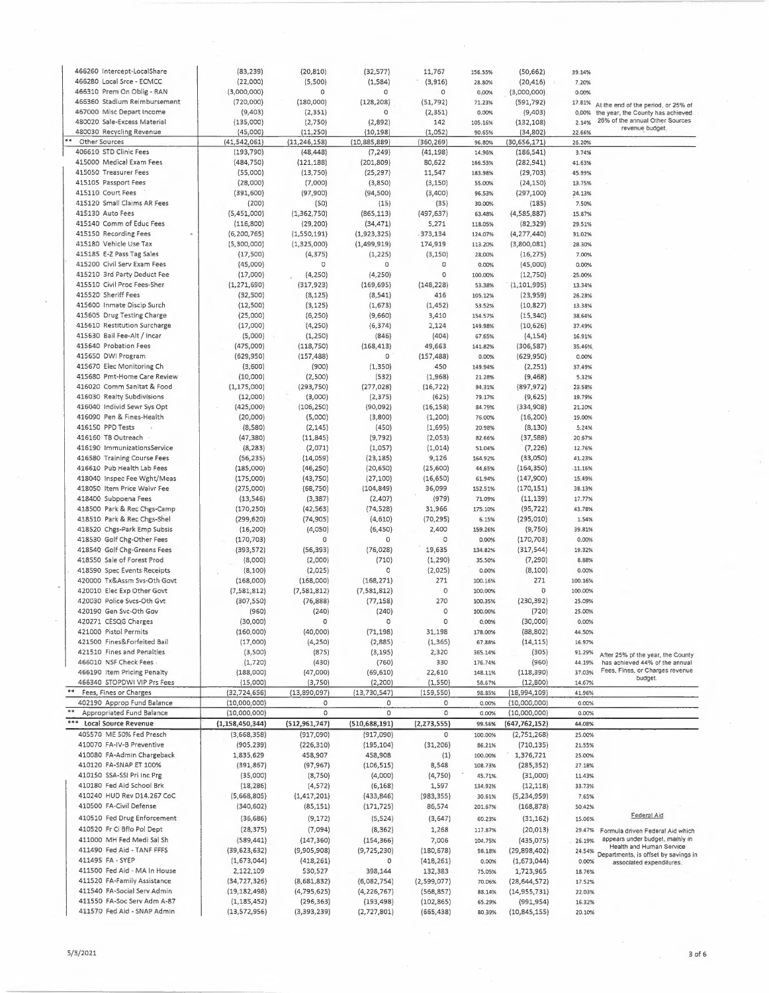| 466260 Intercept-LocalShare                                | (83, 239)                       | (20, 810)                   | (32, 577)                 | 11,767                   | 156.55%            | (50, 662)                    | 39.14%            |                                                                  |
|------------------------------------------------------------|---------------------------------|-----------------------------|---------------------------|--------------------------|--------------------|------------------------------|-------------------|------------------------------------------------------------------|
| 466280 Local Srce - ECMCC                                  | (22,000)                        | (5,500)                     | (1, 584)                  | (3,916)                  | 28.80%             | (20, 416)                    | 7.20%             |                                                                  |
| 466310 Prem On Oblig - RAN                                 | (3,000,000)                     | 0                           | 0                         | 0                        | 0.00%              | (3,000,000)                  | 0.00%             |                                                                  |
| 466360 Stadium Reimbursement                               | (720,000)                       | (180,000)                   | (128, 208)                | (51, 792)                | 71.23%             | (591, 792)                   | 17.81%            | At the end of the period, or 25% of                              |
| 467000 Misc Depart Income                                  | (9,403)                         | (2, 351)                    | 0                         | (2, 351)                 | 0.00%              | (9,403)                      | 0.00%             | the year, the County has achieved                                |
| 480020 Sale-Excess Material                                | (135,000)                       | (2,750)                     | (2,892)                   | 142                      | 105.16%            | (132, 108)                   | 2.14%             | 26% of the annual Other Sources<br>revenue budget.               |
| 480030 Recycling Revenue                                   | (45,000)                        | (11, 250)                   | (10, 198)                 | (1,052)                  | 90.65%             | (34, 802)                    | 22.66%            |                                                                  |
| Other Sources<br>406610 STD Clinic Fees                    | (41,542,061)<br>(193, 790)      | (11, 246, 158)<br>(48, 448) | (10,885,889)              | (360, 269)               | 96.80%<br>14.96%   | (30, 656, 171)               | 26.20%<br>3.74%   |                                                                  |
| 415000 Medical Exam Fees                                   | (484, 750)                      | (121, 188)                  | (7, 249)<br>(201, 809)    | (41, 198)<br>80,622      | 166.53%            | (186, 541)<br>(282, 941)     | 41.63%            |                                                                  |
| 415050 Treasurer Fees                                      | (55,000)                        | (13,750)                    | (25, 297)                 | 11,547                   | 183.98%            | (29, 703)                    | 45.99%            |                                                                  |
| 415105 Passport Fees                                       | (28,000)                        | (7,000)                     | (3,850)                   | (3, 150)                 | 55.00%             | (24, 150)                    | 13.75%            |                                                                  |
| 415110 Court Fees                                          | (391, 600)                      | (97, 900)                   | (94, 500)                 | (3,400)                  | 96.53%             | (297, 100)                   | 24.13%            |                                                                  |
| 415120 Small Claims AR Fees                                | (200)                           | (50)                        | (15)                      | (35)                     | 30.00%             | (185)                        | 7.50%             |                                                                  |
| 415130 Auto Fees                                           | (5,451,000)                     | (1,362,750)                 | (865, 113)                | (497, 637)               | 63.48%             | (4,585,887)                  | 15.87%            |                                                                  |
| 415140 Comm of Educ Fees                                   | (116, 800)                      | (29, 200)                   | (34, 471)                 | 5,271                    | 118.05%            | (82, 329)                    | 29.51%            |                                                                  |
| 415150 Recording Fees<br>$\Phi$                            | (6, 200, 765)                   | (1,550,191)                 | (1,923,325)               | .373,134                 | 124.07%            | (4, 277, 440)                | 31.02%            |                                                                  |
| 415180 Vehicle Use Tax                                     | (5,300,000)                     | (1,325,000)                 | (1,499,919)               | 174,919                  | 113.20%            | (3,800,081)                  | 28.30%            |                                                                  |
| 415185 E-Z Pass Tag Sales                                  | (17,500)                        | (4, 375)                    | (1, 225)                  | (3, 150)                 | 28.00%             | (16, 275)                    | 7.00%             |                                                                  |
| 415200 Civil Serv Exam Fees                                | (45,000)                        | 0                           | 0                         | 0                        | 0.00%              | (45,000)                     | 0.00%             |                                                                  |
| 415210 3rd Party Deduct Fee                                | (17,000)                        | (4, 250)                    | (4, 250)                  | 0                        | 100.00%            | (12, 750)                    | 25.00%            |                                                                  |
| 415510 Civil Proc Fees-Sher                                | (1, 271, 690)                   | (317, 923)                  | (169, 695)                | (148, 228)               | 53.38%             | (1, 101, 995)                | 13.34%            |                                                                  |
| 415520 Sheriff Fees                                        | (32,500)                        | (8, 125)                    | (8, 541)                  | 416                      | 105.12%            | (23,959)                     | 26.28%            |                                                                  |
| 415600 Inmate Discip Surch                                 | (12, 500)                       | (3, 125)                    | (1,673)                   | (1, 452)                 | 53.52%             | (10, 827)                    | 13.38%            |                                                                  |
| 415605 Drug Testing Charge                                 | (25,000)                        | (6, 250)                    | (9,660)                   | 3,410                    | 154.57%            | (15, 340)                    | 38.64%            |                                                                  |
| 415610 Restitution Surcharge                               | (17,000)                        | (4, 250)                    | (6, 374)                  | 2,124                    | 149.98%            | (10, 626)                    | 37.49%            |                                                                  |
| 415630 Bail Fee-Alt / Incar<br>415640 Probation Fees       | (5,000)                         | (1, 250)                    | (846)                     | (404)                    | 67.65%             | (4, 154)                     | 16.91%            |                                                                  |
| 415650 DWI Program                                         | (475,000)<br>(629, 950)         | (118, 750)<br>(157, 488)    | (168, 413)<br>0           | 49,663<br>(157, 488)     | 141.82%<br>0.00%   | (306, 587)<br>(629, 950)     | 35.46%<br>0.00%   |                                                                  |
| 415670 Elec Monitoring Ch                                  | (3,600)                         | (900)                       | (1, 350)                  | 450                      | 149.94%            | (2, 251)                     | 37.49%            |                                                                  |
| 415680 Pmt-Home Care Review                                | (10,000)                        | (2,500)                     | (532)                     | (1,968)                  | 21.28%             | (9, 468)                     | 5.32%             |                                                                  |
| 416020 Comm Sanitat & Food                                 | (1, 175, 000)                   | (293, 750)                  | (277, 028)                | (16, 722)                | 94.31%             | (897, 972)                   | 23.58%            |                                                                  |
| 416030 Realty Subdivisions                                 | (12,000)                        | (3,000)                     | (2, 375)                  | (625)                    | 79.17%             | (9,625)                      | 19.79%            |                                                                  |
| 416040 Individ Sewr Sys Opt                                | (425,000)                       | (106, 250)                  | (90,092)                  | (16, 158)                | 84.79%             | (334, 908)                   | 21.20%            |                                                                  |
| 416090 Pen & Fines-Health                                  | (20,000)                        | (5,000)                     | (3,800)                   | (1, 200)                 | 76.00%             | (16, 200)                    | 19.00%            |                                                                  |
| 416150 PPD Tests                                           | (8,580)                         | (2, 145)                    | (450)                     | (1,695)                  | 20.98%             | (8, 130)                     | 5.24%             |                                                                  |
| 416160 TB Outreach                                         | (47, 380)                       | (11, 845)                   | (9, 792)                  | (2,053)                  | 82.66%             | (37, 588)                    | 20.67%            |                                                                  |
| 416190 ImmunizationsService                                | (8, 283)                        | (2,071)                     | (1,057)                   | (1,014)                  | 51.04%             | (7, 226)                     | 12.76%            |                                                                  |
| 416580 Training Course Fees                                | (56, 235)                       | (14,059)                    | (23, 185)                 | 9,126                    | 164.92%            | (33,050)                     | 41.23%            |                                                                  |
| 416610 Pub Health Lab Fees                                 | (185,000)                       | (46, 250)                   | (20, 650)                 | (25, 600)                | 44.65%             | (164, 350)                   | .11.16%           |                                                                  |
| 418040 Inspec Fee Wght/Meas                                | (175,000)                       | (43, 750)                   | (27, 100)                 | (16, 650)                | 61.94%             | (147,900)                    | 15.49%            |                                                                  |
| 418050 Item Price Waivr Fee                                | (275,000)                       | (68, 750)                   | (104, 849)                | 36,099                   | 152.51%            | (170, 151)                   | 38.13%            |                                                                  |
|                                                            |                                 |                             |                           |                          |                    |                              |                   |                                                                  |
| 418400 Subpoena Fees                                       | (13, 546)                       | (3, 387)                    | (2,407)                   | (979)                    | 71.09%             | (11, 139)                    | 17.77%            |                                                                  |
| 418500 Park & Rec Chgs-Camp                                | (170, 250)                      | (42, 563)                   | (74, 528)                 | 31,966                   | 175.10%            | (95, 722)                    | 43.78%            |                                                                  |
| 418510 Park & Rec Chgs-Shel                                | (299, 620)                      | (74,905)                    | (4,610)                   | (70, 295)                | 6.15%              | (295, 010)                   | 1.54%             |                                                                  |
| 418520 Chgs-Park Emp Subsis                                | (16, 200)                       | (4,050)                     | (6, 450)                  | 2,400                    | 159.26%            | (9,750)                      | 39.81%            |                                                                  |
| 418530 Golf Chg-Other Fees                                 | (170, 703)                      | 0                           | 0                         | 0                        | 0.00%              | (170, 703)                   | 0.00%             |                                                                  |
| 418540 Golf Chg-Greens Fees                                | (393,572)                       | (56,393)                    | (76, 028)                 | 19,635                   | 134.82%            | (317, 544)                   | 19.32%            |                                                                  |
| 418550 Sale of Forest Prod                                 | (8,000)                         | (2,000)                     | (710)                     | (1, 290)                 | 35.50%             | (7, 290)                     | 8.88%             |                                                                  |
| 418590 Spec Events Receipts                                | (8, 100)                        | (2,025)                     | 0                         | (2,025)                  | 0,00%              | (8, 100)                     | 0.00%             |                                                                  |
| 420000 Tx&Assm Svs-Oth Govt                                | (168,000)                       | (168,000)                   | (168, 271)                | 271                      | 100.16%            | 271<br>0                     | 100.16%           |                                                                  |
| 420010 Elec Exp Other Govt<br>420030 Police Svcs-Oth Gvt   | (7,581,812)                     | (7,581,812)                 | (7,581,812)               | $\circ$<br>270           | 100.00%<br>100.35% | (230, 392)                   | 100.00%<br>25.09% |                                                                  |
| 420190 Gen Svc-Oth Gov                                     | (307, 550)<br>(960)             | (76,888)<br>(240)           | (77, 158)<br>(240)        | $\circ$                  | 100.00%            | (720)                        | 25.00%            |                                                                  |
| 420271 CESQG Charges                                       | (30,000)                        | $\circ$                     | 0                         | $\circ$                  | 0.00%              | (30,000)                     | 0.00%             |                                                                  |
| 421000 Pistol Permits                                      | (160,000)                       | (40,000)                    | (71, 198)                 | 31,198                   | 178.00%            | (88, 802)                    | 44.50%            |                                                                  |
| 421500 Fines&Forfeited Bail                                | (17,000)                        | (4,250)                     | (2,885)                   | (1, 365)                 | 67.88%             | (14, 115)                    | 16.97%            |                                                                  |
| 421510 Fines and Penalties                                 | (3,500)                         | (875)                       | (3, 195)                  | 2,320                    | 365.14%            | (305)                        | 91.29%            | After 25% of the year, the County                                |
| 466010 NSF Check Fees                                      | (1,720)                         | (430)                       | (760)                     | 330                      | 176.74%            | (960)                        | 44.19%            | has achieved 44% of the annual                                   |
| 466190 Item Pricing Penalty                                | (188,000)                       | (47,000)                    | (69, 610)                 | 22,610                   | 148.11%            | (118, 390)                   | 37.03%            | Fees, Fines, or Charges revenue                                  |
| 466340 STOPDWI VIP Prs Fees                                | (15,000)                        | (3,750)                     | (2, 200)                  | (1,550)                  | 58.67%             | (12,800)                     | 14.67%            | budget.                                                          |
| Fees, Fines or Charges                                     | (32, 724, 656)                  | (13,890,097)                | (13, 730, 547)            | (159, 550)               | 98.85%             | (18,994,109)                 | 41.96%            |                                                                  |
| 402190 Approp Fund Balance                                 | (10,000,000)                    | 0                           | 0                         | O                        | 0.00%              | (10,000,000)                 | 0.00%             |                                                                  |
| Appropriated Fund Balance                                  | (10,000,000)                    | $\circ$                     | $\circ$                   | $\circ$                  | 0,00%              | (10,000,000)                 | 0.00%             |                                                                  |
| ***<br><b>Local Source Revenue</b>                         | (1, 158, 450, 344)              | (512, 961, 747)             | (510, 688, 191)           | (2, 273, 555)            | 99.56%             | (647, 762, 152)              | 44.08%            |                                                                  |
| 405570 ME 50% Fed Presch                                   | (3,668,358)                     | (917,090)                   | (917,090)                 | 0                        | 100.00%            | (2,751,268)                  | 25.00%            |                                                                  |
| 410070 FA-IV-B Preventive<br>410080 FA-Admin Chargeback    | (905, 239)<br>1,835,629         | (226, 310)<br>458,907       | (195, 104)<br>458,908     | (31, 206)<br>(1)         | 86.21%<br>100.00%  | (710, 135)<br>1,376,721      | 21.55%<br>25.00%  |                                                                  |
| 410120 FA-SNAP ET 100%                                     |                                 |                             |                           |                          |                    |                              | 27.18%            |                                                                  |
| 410150 SSA-SSI Pri Inc Prg                                 | (391, 867)<br>(35,000)          | (97, 967)<br>(8,750)        | (106, 515)<br>(4,000)     | 8,548<br>(4,750)         | 108.73%<br>45.71%  | (285, 352)<br>(31,000)       | 11.43%            |                                                                  |
| 410180 Fed Aid School Brk                                  | (18, 286)                       | (4, 572)                    | (6, 168)                  | 1,597                    | 134.92%            | (12, 118)                    | 33.73%            |                                                                  |
| 410240 HUD Rev D14.267 CoC                                 | (5,668,805)                     | (1, 417, 201)               | (433, 846)                | (983, 355)               | 30.61%             | (5,234,959)                  | 7.65%             |                                                                  |
| 410500 FA-Civil Defense                                    | (340, 602)                      | (85, 151)                   | (171, 725)                | 86,574                   | 201.67%            | (168, 878)                   | 50.42%            |                                                                  |
| 410510 Fed Drug Enforcement                                | (36, 686)                       | (9, 172)                    | (5, 524)                  | (3,647)                  | 60.23%             | (31, 162)                    | 15.06%            | Federal Aid                                                      |
| 410520 Fr Ci Bflo Pol Dept                                 | (28, 375)                       | (7,094)                     | (8, 362)                  | 1,268                    | 117.87%            | (20, 013)                    | 29.47%            | Formula driven Federal Aid which                                 |
| 411000 MH Fed Medi Sal Sh                                  | (589, 441)                      | (147, 360)                  | (154, 366)                | 7,006                    | 104.75%            | (435,075)                    | 26.19%            | appears under budget, mainly in                                  |
| 411490 Fed Aid - TANF FFFS                                 | (39, 623, 632)                  | (9,905,908)                 | (9,725,230)               | (180, 678)               | 98.18%             | (29,898,402)                 | 24.54%            | Health and Human Service                                         |
| 411495 FA - SYEP                                           | (1,673,044)                     | (418, 261)                  | $\circ$                   | (418, 261)               | 0.00%              | (1,673,044)                  | 0.00%             | Departments, is offset by savings in<br>associated expenditures. |
| 411500 Fed Aid - MA In House                               | 2,122,109                       | 530,527                     | 398,144                   | 132,383                  | 75.05%             | 1,723,965                    | 18.76%            |                                                                  |
| 411520 FA-Family Assistance                                | (34, 727, 326)                  | (8,681,832)                 | (6,082,754)               | (2, 599, 077)            | 70.06%             | (28, 644, 572)               | 17.52%            |                                                                  |
| 411540 FA-Social Serv Admin                                | (19, 182, 498)                  | (4, 795, 625)               | (4, 226, 767)             | (568, 857)               | 88.14%             | (14, 955, 731)               | 22.03%            |                                                                  |
| 411550 FA-Soc Serv Adm A-87<br>411570 Fed Aid - SNAP Admin | (1, 185, 452)<br>(13, 572, 956) | (296, 363)<br>(3,393,239)   | (193, 498)<br>(2,727,801) | (102, 865)<br>(665, 438) | 65.29%<br>80.39%   | (991, 954)<br>(10, 845, 155) | 16.32%<br>20.10%  |                                                                  |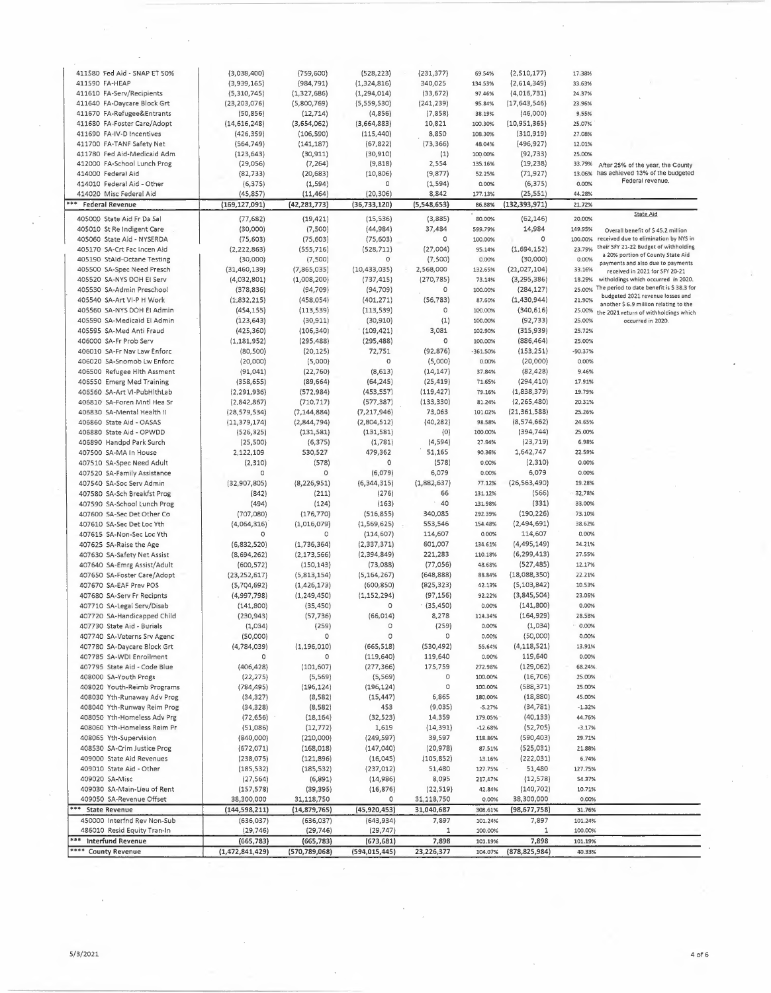| 411580 Fed Aid - SNAP ET 50%    | (3,038,400)     | (759, 600)      | (528, 223)      | (231, 377)  | 69.54%     | (2,510,177)     | 17.38%    |                                                                            |
|---------------------------------|-----------------|-----------------|-----------------|-------------|------------|-----------------|-----------|----------------------------------------------------------------------------|
| 411590 FA-HEAP                  | (3,939,165)     | (984, 791)      | (1,324,816)     | 340,025     | 134.53%    | (2,614,349)     | 33.63%    |                                                                            |
| 411610 FA-Serv/Recipients       | (5,310,745)     | (1, 327, 686)   | (1, 294, 014)   | (33, 672)   | 97.46%     | (4,016,731)     | 24.37%    |                                                                            |
| 411640 FA-Daycare Block Grt     | (23, 203, 076)  | (5,800,769)     | (5,559,530)     | (241, 239)  | 95.84%     | (17,643,546)    | 23.96%    |                                                                            |
| 411670 FA-Refugee&Entrants      | (50, 856)       | (12, 714)       | (4,856)         | (7,858)     |            | (46,000)        | 9.55%     |                                                                            |
|                                 |                 |                 |                 |             | 38.19%     |                 |           |                                                                            |
| 411680 FA-Foster Care/Adopt     | (14, 616, 248)  | (3,654,062)     | (3,664,883)     | 10,821      | 100.30%    | (10, 951, 365)  | 25.07%    |                                                                            |
| 411690 FA-IV-D Incentives       | (426, 359)      | (106, 590)      | (115, 440)      | 8,850       | 108.30%    | (310, 919)      | 27.08%    |                                                                            |
| 411700 FA-TANF Safety Net       | (564, 749)      | (141, 187)      | (67, 822)       | (73, 366)   | 48.04%     | (496, 927)      | 12.01%    |                                                                            |
| 411780 Fed Aid-Medicaid Adm     | (123, 643)      | (30, 911)       | (30, 910)       | (1)         | 100.00%    | (92, 733)       | 25.00%    |                                                                            |
| 412000 FA-School Lunch Prog     | (29,056)        | (7, 264)        | (9, 818)        | 2,554       | 135.16%    | (19, 238)       | 33.79%    | After 25% of the year, the County                                          |
| 414000 Federal Aid              | (82, 733)       | (20, 683)       | (10, 806)       | (9,877)     | 52.25%     | (71, 927)       | 13.06%    | has achieved 13% of the budgeted                                           |
| 414010 Federal Aid - Other      | (6, 375)        | (1, 594)        | 0               | (1, 594)    | 0.00%      | (6, 375)        | 0.00%     | Federal revenue.                                                           |
| 414020 Misc Federal Aid         | (45, 857)       | (11, 464)       | (20, 306)       | 8,842       | 177.13%    | (25, 551)       | 44.28%    |                                                                            |
| <b>Federal Revenue</b>          | (169, 127, 091) | (42, 281, 773)  | (36, 733, 120)  | (5,548,653) | 86.88%     | (132, 393, 971) | 21.72%    |                                                                            |
| 405000 State Aid Fr Da Sal      |                 |                 |                 |             |            | (62, 146)       |           | State Aid                                                                  |
|                                 | (77, 682)       | (19, 421)       | (15, 536)       | (3,885)     | 80.00%     |                 | 20.00%    |                                                                            |
| 405010 St Re Indigent Care      | (30,000)        | (7,500)         | (44,984)        | 37,484      | 599.79%    | 14,984          | 149.95%   | Overall benefit of \$45.2 million                                          |
| 405060 State Aid - NYSERDA      | (75, 603)       | (75, 603)       | (75, 603)       | 0           | 100.00%    | 0               | 100.00%   | received due to elimination by NYS in                                      |
| 405170 SA-Crt Fac Incen Aid     | (2, 222, 863)   | (555, 716)      | (528, 711)      | (27,004)    | 95.14%     | (1,694,152)     | 23.79%    | their SFY 21-22 Budget of withholding<br>a 20% portion of County State Aid |
| 405190 StAid-Octane Testing     | (30,000)        | (7,500)         | 0               | (7,500)     | 0.00%      | (30,000)        | 0.00%     | payments and also due to payments                                          |
| 405500 SA-Spec Need Presch      | (31, 460, 139)  | (7,865,035)     | (10, 433, 035)  | 2,568,000   | 132.65%    | (21,027,104)    | 33.16%    | received in 2021 for SFY 20-21                                             |
| 405520 SA-NYS DOH EI Serv       | (4,032,801)     | (1,008,200)     | (737, 415)      | (270, 785)  | 73.14%     | (3, 295, 386)   | 18.29%    | witholdings which occurred in 2020.                                        |
| 405530 SA-Admin Preschool       | (378, 836)      | (94, 709)       | (94, 709)       | O           | 100.00%    | (284, 127)      | 25.00%    | The period to date benefit is \$38.3 for                                   |
| 405540 SA-Art VI-P H Work       | (1,832,215)     | (458, 054)      | (401, 271)      | (56, 783)   | 87.60%     | (1,430,944)     | 21.90%    | budgeted 2021 revenue losses and                                           |
| 405560 SA-NYS DOH EI Admin      | (454, 155)      | (113, 539)      | (113, 539)      | 0           | 100.00%    | (340, 616)      | 25.00%    | another \$ 6.9 million relating to the                                     |
| 405590 SA-Medicaid El Admin     | (123, 643)      |                 | (30, 910)       | (1)         | 100.00%    | (92, 733)       | 25.00%    | the 2021 return of withholdings which<br>occurred in 2020.                 |
|                                 |                 | (30, 911)       |                 |             |            |                 |           |                                                                            |
| 405595 SA-Med Anti Fraud        | (425, 360)      | (106, 340)      | (109, 421)      | 3,081       | 102.90%    | (315, 939)      | 25.72%    |                                                                            |
| 406000 SA-Fr Prob Serv          | (1, 181, 952)   | (295, 488)      | (295, 488)      | $\circ$     | 100.00%    | (886,464)       | 25.00%    |                                                                            |
| 406010 SA-Fr Nav Law Enforc     | (80, 500)       | (20, 125)       | 72,751          | (92, 876)   | $-361.50%$ | (153, 251)      | $-90.37%$ |                                                                            |
| 406020 SA-Snomob Lw Enforc      | (20,000)        | (5,000)         | $\circ$         | (5,000)     | 0.00%      | (20,000)        | 0.00%     |                                                                            |
| 406500 Refugee Hith Assment     | (91, 041)       | (22, 760)       | (8,613)         | (14, 147)   | 37.84%     | (82, 428)       | 9.46%     |                                                                            |
| 406550 Emerg Med Training       | (358, 655)      | (89, 664)       | (64, 245)       | (25, 419)   | 71.65%     | (294, 410)      | 17.91%    |                                                                            |
| 406560 SA-Art VI-PubHlthLab     | (2, 291, 936)   | (572, 984)      | (453, 557)      | (119, 427)  | 79.16%     | (1,838,379)     | 19.79%    |                                                                            |
| 406810 SA-Foren Mntl Hea Sr     | (2,842,867)     | (710, 717)      | (577, 387)      | (133, 330)  | 81.24%     | (2, 265, 480)   | 20.31%    |                                                                            |
| 406830 SA-Mental Health II      | (28, 579, 534)  | (7, 144, 884)   | (7, 217, 946)   | 73,063      | 101.02%    | (21, 361, 588)  | 25.26%    |                                                                            |
| 406860 State Aid - OASAS        | (11, 379, 174)  | (2,844,794)     | (2,804,512)     | (40, 282)   | 98.58%     | (8,574,662)     | 24.65%    |                                                                            |
|                                 |                 |                 |                 | (0)         | 100.00%    | (394, 744)      | 25.00%    |                                                                            |
| 406880 State Aid - OPWDD        | (526, 325)      | (131, 581)      | (131,581)       |             |            |                 |           |                                                                            |
| 406890 Handpd Park Surch        | (25, 500)       | (6, 375)        | (1,781)         | (4,594)     | 27.94%     | (23, 719)       | 6.98%     |                                                                            |
| 407500 SA-MA In House           | 2,122,109       | 530,527         | 479,362         | 51,165      | 90.36%     | 1,642,747       | 22.59%    |                                                                            |
| 407510 SA-Spec Need Adult       | (2, 310)        | (578)           | 0               | (578)       | 0.00%      | (2, 310)        | 0.00%     |                                                                            |
| 407520 SA-Family Assistance     | 0               | $\circ$         | (6,079)         | 6,079       | 0.00%      | 6,079           | 0.00%     |                                                                            |
| 407540 SA-Soc Serv Admin        | (32, 907, 805)  | (8, 226, 951)   | (6, 344, 315)   | (1,882,637) | 77.12%     | (26, 563, 490)  | 19.28%    |                                                                            |
| 407580 SA-Sch Breakfst Prog     | (842)           | (211)           | (276)           | 66          | 131.12%    | (566)           | 32.78%    |                                                                            |
| 407590 SA-School Lunch Prog     | (494)           | (124)           | (163)           | 40          | 131.98%    | (331)           | 33.00%    |                                                                            |
| 407600 SA-Sec Det Other Co      | (707,080)       | (176, 770)      | (516, 855)      | 340,085     | 292.39%    | (190, 226)      | 73.10%    |                                                                            |
| 407610 SA-Sec Det Loc Yth       | (4,064,316)     | (1,016,079)     | (1,569,625)     | 553,546     | 154.48%    | (2,494,691)     | 38.62%    |                                                                            |
| 407615 SA-Non-Sec Loc Yth       | 0               | 0               | (114, 607)      | 114,607     | 0.00%      | 114,607         | 0.00%     |                                                                            |
|                                 |                 |                 |                 |             |            |                 |           |                                                                            |
| 407625 SA-Raise the Age         | (6,832,520)     | (1,736,364)     | (2, 337, 371)   | 601,007     | 134.61%    | (4,495,149)     | 34.21%    |                                                                            |
| 407630 SA-Safety Net Assist     | (8,694,262)     | (2, 173, 566)   | (2, 394, 849)   | 221,283     | 110.18%    | (6, 299, 413)   | 27.55%    |                                                                            |
| 407640 SA-Emrg Assist/Adult     | (600, 572)      | (150, 143)      | (73,088)        | (77, 056)   | 48.68%     | (527, 485)      | 12.17%    |                                                                            |
| 407650 SA-Foster Care/Adopt     | (23, 252, 617)  | (5,813,154)     | (5, 164, 267)   | (648, 888)  | 88.84%     | (18,088,350)    | 22.21%    |                                                                            |
| 407670 SA-EAF Prev POS          | (5,704,692)     | (1, 426, 173)   | (600, 850)      | (825, 323)  | 42.13%     | (5, 103, 842)   | 10.53%    |                                                                            |
| 407680 SA-Serv Fr Recipnts      | (4,997,798)     | (1, 249, 450)   | (1, 152, 294)   | (97, 156)   | 92.22%     | (3,845,504)     | 23.06%    |                                                                            |
| 407710 SA-Legal Serv/Disab      | (141, 800)      | (35, 450)       | 0               | (35, 450)   | 0.00%      | (141, 800)      | 0.00%     |                                                                            |
| 407720 SA-Handicapped Child     | (230, 943)      | (57, 736)       | (66, 014)       | 8,278       | 114.34%    | (164, 929)      | 28.58%    |                                                                            |
| 407730 State Aid - Burials      | (1,034)         | (259)           |                 | (259)       | 0.00%      | (1,034)         | 0.00%     |                                                                            |
| 407740 SA-Veterns Srv Agenc     | (50,000)        | 0               | 0               | 0           | 0.00%      | (50,000)        | 0.00%     |                                                                            |
|                                 |                 |                 | (665, 518)      |             |            | (4, 118, 521)   | 13.91%    |                                                                            |
| 407780 SA-Daycare Block Grt     | (4, 784, 039)   | (1, 196, 010)   |                 | (530, 492)  | 55.64%     |                 |           |                                                                            |
| 407785 SA-WDI Enrollment        | 0               | 0               | (119, 640)      | 119,640     | 0.00%      | 119,640         | 0.00%     |                                                                            |
| 407795 State Aid - Code Blue    | (406, 428)      | (101, 607)      | (277, 366)      | 175,759     | 272.98%    | (129,062)       | 68.24%    |                                                                            |
| 408000 SA-Youth Progs           | (22, 275)       | (5, 569)        | (5,569)         | 0           | 100.00%    | (16, 706)       | 25.00%    |                                                                            |
| 408020 Youth-Reimb Programs     | (784, 495)      | (196, 124)      | (196, 124)      | 0           | 100.00%    | (588, 371)      | 25.00%    |                                                                            |
| 408030 Yth-Runaway Adv Prog     | (34, 327)       | (8,582)         | (15, 447)       | 6,865       | 180.00%    | (18, 880)       | 45.00%    |                                                                            |
| 408040 Yth-Runway Reim Prog     | (34, 328)       | (8, 582)        | 453             | (9,035)     | $-5.27%$   | (34, 781)       | $-1.32%$  |                                                                            |
| 408050 Yth-Homeless Adv Prg     | (72, 656)       | (18, 164)       | (32, 523)       | 14,359      | 179.05%    | (40, 133)       | 44.76%    |                                                                            |
| 408060 Yth-Homeless Reim Pr     | (51,086)        | (12, 772)       | 1,619           | (14, 391)   | $-12.68%$  | (52, 705)       | $-3.17%$  |                                                                            |
| 408065 Yth-Supervision          | (840,000)       | (210,000)       | (249, 597)      | 39,597      | 118.86%    | (590,403)       | 29.71%    |                                                                            |
| 408530 SA-Crim Justice Prog     | (672,071)       | (168, 018)      | (147,040)       | (20, 978)   | 87.51%     | (525,031)       | 21.88%    |                                                                            |
| 409000 State Aid Revenues       | (238, 075)      | (121, 896)      | (16,045)        | (105, 852)  | 13.16%     | (222, 031)      | 6.74%     |                                                                            |
|                                 |                 |                 |                 |             |            |                 |           |                                                                            |
| 409010 State Aid - Other        | (185, 532)      | (185, 532)      | (237, 012)      | 51,480      | 127.75%    | 51,480          | 127.75%   |                                                                            |
| 409020 SA-Misc                  | (27, 564)       | (6,891)         | (14, 986)       | 8,095       | 217.47%    | (12, 578)       | 54.37%    |                                                                            |
| 409030 SA-Main-Lieu of Rent     | (157, 578)      | (39, 395)       | (16, 876)       | (22, 519)   | 42.84%     | (140, 702)      | 10.71%    |                                                                            |
| 409050 SA-Revenue Offset        | 38,300,000      | 31,118,750      | 0               | 31,118,750  | 0.00%      | 38,300,000      | 0.00%     |                                                                            |
| *** State Revenue               | (144, 598, 211) | (14, 879, 765)  | (45, 920, 453)  | 31,040,687  | 308.61%    | (98, 677, 758)  | 31.76%    |                                                                            |
| 450000 Interfnd Rev Non-Sub     | (636, 037)      | (636, 037)      | (643,934)       | 7,897       | 101.24%    | 7,897           | 101.24%   |                                                                            |
| 486010 Resid Equity Tran-In     | (29, 746)       | (29, 746)       | (29, 747)       | 1           | 100.00%    | $\mathbf{1}$    | 100.00%   |                                                                            |
| ***<br><b>Interfund Revenue</b> | (665, 783)      | (665, 783)      | (673, 681)      | 7,898       | 101.19%    | 7,898           | 101.19%   |                                                                            |
| **** County Revenue             | (1,472,841,429) | (570, 789, 068) | (594, 015, 445) | 23,226,377  | 104.07%    | (878, 825, 984) | 40.33%    |                                                                            |
|                                 |                 |                 |                 |             |            |                 |           |                                                                            |

 $\epsilon$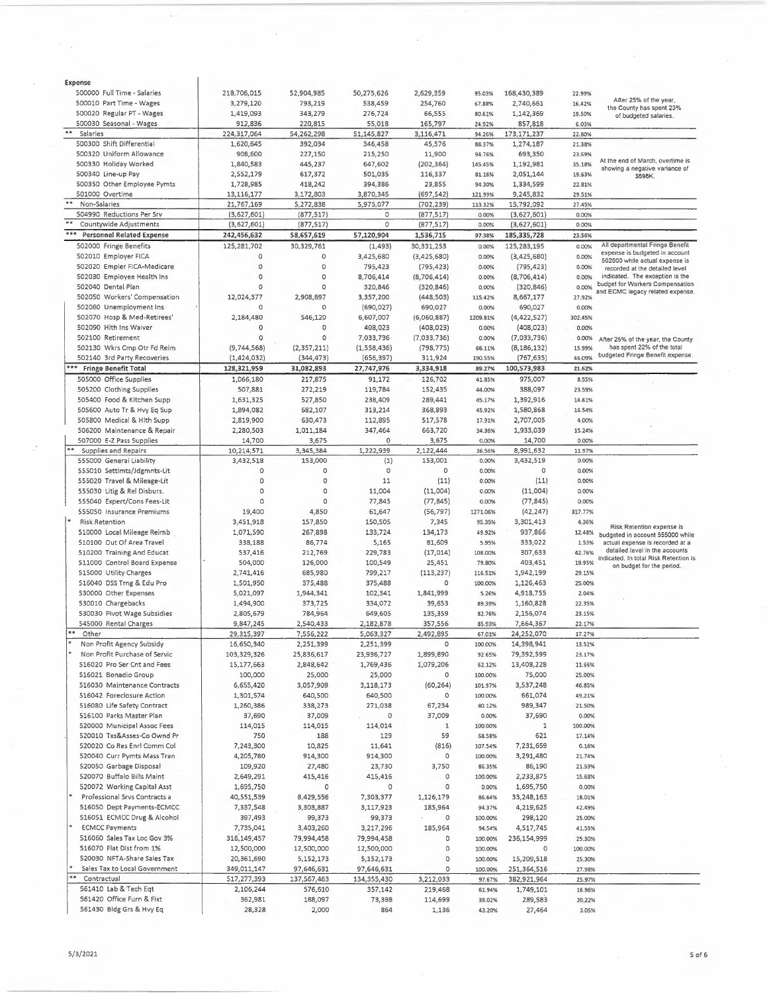| Expense                                 |             |               |             |             |          |               |         |                                                                   |
|-----------------------------------------|-------------|---------------|-------------|-------------|----------|---------------|---------|-------------------------------------------------------------------|
| 500000 Full Time - Salaries             | 218,706,015 | 52,904,985    | 50,275,626  | 2,629,359   | 95.03%   | 168,430,389   | 22.99%  |                                                                   |
| 500010 Part Time - Wages                | 3,279,120   | 793,219       | 538,459     | 254,760     | 67.88%   | 2,740,661     | 16.42%  | After 25% of the year,<br>the County has spent 23%                |
| 500020 Regular PT - Wages               | 1,419,093   | 343,279       | 276,724     | 66,555      | 80.61%   | 1,142,369     | 19.50%  | of budgeted salaries.                                             |
| 500030 Seasonal - Wages                 | 912,836     | 220,815       | 55,018      | 165,797     | 24.92%   | 857,818       | 6.03%   |                                                                   |
| $\pm\pm$<br>Salaries                    | 224,317,064 | 54,262,298    | 51,145,827  | 3,116,471   | 94.26%   | 173, 171, 237 | 22.80%  |                                                                   |
| 500300 Shift Differential               | 1,620,645   | 392,034       | 346,458     | 45,576      | 88.37%   | 1,274,187     | 21.38%  |                                                                   |
| 500320 Uniform Allowance                | 908,600     | 227,150       | 215,250     | 11,900      | 94.76%   | 693,350       | 23.69%  |                                                                   |
| 500330 Holiday Worked                   | 1,840,583   | 445,237       | 647,602     | (202, 364)  | 145.45%  | 1,192,981     | 35.18%  | At the end of March, overtime is                                  |
| 500340 Line-up Pay                      | 2,552,179   | 617,372       | 501,035     | 116,337     | 81.16%   | 2,051,144     | 19.63%  | showing a negative variance of                                    |
| 500350 Other Employee Pymts             | 1,728,985   | 418,242       | 394,386     | 23,855      | 94.30%   | 1,334,599     | 22.81%  | \$698K.                                                           |
| 501000 Overtime                         | 13,116,177  | 3,172,803     | 3,870,345   | (697, 542)  | 121.99%  | 9,245,832     | 29.51%  |                                                                   |
| $\pm\pm$                                |             |               |             |             |          |               |         |                                                                   |
| Non-Salaries                            | 21,767,169  | 5,272,838     | 5,975,077   | (702, 239)  | 113.32%  | 15,792,092    | 27.45%  |                                                                   |
| 504990 Reductions Per Srv<br>$\#$ $\#$  | (3,627,601) | (877, 517)    | 0           | (877, 517)  | 0.00%    | (3,627,601)   | 0.00%   |                                                                   |
| Countywide Adjustments                  | (3,627,601) | (877, 517)    | 0           | (877, 517)  | 0.00%    | (3,627,601)   | 0.00%   |                                                                   |
| ***<br><b>Personnel Related Expense</b> | 242,456,632 | 58,657,619    | 57,120,904  | 1,536,715   | 97.38%   | 185,335,728   | 23.56%  |                                                                   |
| 502000 Fringe Benefits                  | 125,281,702 | 30,329,761    | (1, 493)    | 30,331,253  | 0.00%    | 125,283,195   | 0.00%   | All departmental Fringe Benefit                                   |
| 502010 Employer FICA                    | O           | $\circ$       | 3,425,680   | (3,425,680) | 0.00%    | (3,425,680)   | 0.00%   | expense is budgeted in account                                    |
| 502020 Empler FICA-Medicare             | $\circ$     | $\circ$       | 795,423     | (795, 423)  | 0.00%    | (795, 423)    | 0.00%   | 502000 while actual expense is<br>recorded at the detailed level  |
| 502030 Employee Health Ins              | $\circ$     | $\circ$       | 8,706,414   | (8,706,414) | 0.00%    | (8,706,414)   | 0.00%   | indicated. The exception is the                                   |
| 502040 Dental Plan                      | $\circ$     | $\circ$       | 320,846     | (320, 846)  | 0.00%    | (320, 846)    | 0.00%   | budget for Workers Compensation                                   |
| 502050 Workers' Compensation            | 12,024,377  | 2,908,697     | 3,357,200   | (448, 503)  | 115.42%  | 8,667,177     | 27.92%  | and ECMC legacy related expense.                                  |
|                                         | $\Omega$    |               |             |             |          |               |         |                                                                   |
| 502060 Unemployment Ins                 |             | $\circ$       | (690, 027)  | 690,027     | 0.00%    | 690,027       | 0.00%   |                                                                   |
| 502070 Hosp & Med-Retirees'             | 2,184,480   | 546,120       | 6,607,007   | (6,060,887) | 1209.81% | (4,422,527)   | 302.45% |                                                                   |
| 502090 Hith Ins Waiver                  | 0           | $\circ$       | 408,023     | (408, 023)  | 0.00%    | (408, 023)    | 0.00%   |                                                                   |
| 502100 Retirement                       | $\Omega$    | $\circ$       | 7,033,736   | (7,033,736) | 0.00%    | (7,033,736)   | 0.00%   | After 25% of the year, the County                                 |
| 502130 Wkrs Cmp Otr Fd Reim             | (9,744,568) | (2, 357, 211) | (1,558,436) | (798, 775)  | 66.11%   | (8, 186, 132) | 15.99%  | has spent 22% of the total                                        |
| 502140 3rd Party Recoveries             | (1,424,032) | (344, 473)    | (656, 397)  | 311,924     | 190.55%  | (767, 635)    | 46.09%  | budgeted Fringe Benefit expense.                                  |
| ***<br><b>Fringe Benefit Total</b>      | 128,321,959 | 31,082,893    | 27,747,976  | 3,334,918   | 89.27%   | 100,573,983   | 21.62%  |                                                                   |
| 505000 Office Supplies                  | 1,066,180   | 217,875       | 91,172      | 126,702     | 41.85%   | 975,007       | 8.55%   |                                                                   |
| 505200 Clothing Supplies                | 507,881     | 272,219       | 119,784     | 152,435     | 44.00%   | 388,097       | 23.59%  |                                                                   |
| 505400 Food & Kitchen Supp              | 1,631,325   | 527,850       | 238,409     | 289,441     | 45.17%   | 1,392,916     | 14.61%  |                                                                   |
| 505600 Auto Tr & Hvv Eq Sup             |             |               |             |             |          |               |         |                                                                   |
|                                         | 1,894,082   | 682,107       | 313,214     | 368,893     | 45.92%   | 1,580,868     | 16.54%  |                                                                   |
| 505800 Medical & Hith Supp              | 2,819,900   | 630,473       | 112,895     | 517,578     | 17.91%   | 2,707,005     | 4.00%   |                                                                   |
| 506200 Maintenance & Repair             | 2,280,503   | 1,011,184     | 347,464     | 663,720     | 34.36%   | 1,933,039     | 15.24%  |                                                                   |
| 507000 E-Z Pass Supplies                | 14,700      | 3,675         | 0           | 3,675       | 0.00%    | 14,700        | 0.00%   |                                                                   |
| **<br>Supplies and Repairs              | 10,214,571  | 3,345,384     | 1,222,939   | 2,122,444   | 36.56%   | 8,991,632     | 11.97%  |                                                                   |
| 555000 General Liability                | 3,432,518   | 153,000       | (1)         | 153,001     | 0.00%    | 3,432,519     | 0.00%   |                                                                   |
| 555010 Settlmts/Jdgmnts-Lit             | 0           | 0             | $\circ$     | 0           | 0.00%    | 0             | 0.00%   |                                                                   |
| 555020 Travel & Mileage-Lit             | 0           | 0             | 11          | (11)        | 0.00%    | (11)          | 0.00%   |                                                                   |
| 555030 Litig & Rel Disburs.             | 0           | O             | 11,004      | (11,004)    | 0.00%    | (11,004)      | 0.00%   |                                                                   |
| 555040 Expert/Cons Fees-Lit             | $\circ$     | $\Omega$      | 77,845      | (77, 845)   | 0.00%    | (77, 845)     | 0.00%   |                                                                   |
| 555050 Insurance Premiums               | 19,400      | 4,850         | 61,647      | (56, 797)   | 1271.06% | (42, 247)     | 317.77% |                                                                   |
| <b>Risk Retention</b>                   | 3,451,918   | 157,850       | 150,505     | 7,345       | 95.35%   | 3,301,413     | 4.36%   |                                                                   |
|                                         |             |               |             |             |          |               |         | Risk Retention expense is                                         |
| 510000 Local Mileage Reimb              | 1,071,590   | 267,898       | 133,724     | 134,173     | 49.92%   | 937,866       | 12.48%  | budgeted in account 555000 while                                  |
| 510100 Out Of Area Travel               | 338,188     | 86,774        | 5,165       | 81,609      | 5.95%    | 333,022       | 1.53%   | actual expense is recorded at a<br>detailed level in the accounts |
| 510200 Training And Educat              | 537,416     | 212,769       | 229,783     | (17, 014)   | 108.00%  | 307,633       | 42.76%  | indicated. In total Risk Retention is                             |
| 511000 Control Board Expense            | 504,000     | 126,000       | 100,549     | 25,451      | 79.80%   | 403,451       | 19.95%  | on budget for the period.                                         |
| 515000 Utility Charges                  | 2,741,416   | 685,980       | 799,217     | (113, 237)  | 116.51%  | 1,942,199     | 29.15%  |                                                                   |
| 516040 DSS Trng & Edu Pro               | 1,501,950   | 375,488       | 375,488     | ٥           | 100.00%  | 1,126,463     | 25.00%  |                                                                   |
| 530000 Other Expenses                   | 5,021,097   | 1,944,341     | 102,341     | 1,841,999   | 5.26%    | 4,918,755     | 2.04%   |                                                                   |
| 530010 Chargebacks                      | 1,494,900   | 373,725       | 334,072     | 39,653      | 89.39%   | 1,160,828     | 22.35%  |                                                                   |
| 530030 Pivot Wage Subsidies             | 2,805,679   | 784,964       | 649,605     | 135,359     | 82.76%   | 2,156,074     | 23.15%  |                                                                   |
| 545000 Rental Charges                   | 9,847,245   | 2,540,433     | 2,182,878   | 357,556     | 85.93%   | 7,664,367     | 22.17%  |                                                                   |
| **<br>Other                             | 29,315,397  | 7,556,222     | 5,063,327   | 2,492,895   | 67.01%   | 24,252,070    | 17.27%  |                                                                   |
| Non Profit Agency Subsidy               | 16,650,340  | 2,251,399     | 2,251,399   | $\circ$     |          | 14,398,941    | 13.52%  |                                                                   |
|                                         |             |               |             |             | 100.00%  |               |         |                                                                   |
| Non Profit Purchase of Servic           | 103,329,326 | 25,836,617    | 23,936,727  | 1,899,890   | 92.65%   | 79,392,599    | 23.17%  |                                                                   |
| 516020 Pro Ser Cnt and Fees             | 15,177,663  | 2,848,642     | 1,769,436   | 1,079,206   | 62.12%   | 13,408,228    | 11.66%  |                                                                   |
| 516021 Bonadio Group                    | 100,000     | 25,000        | 25,000      | 0           | 100.00%  | 75,000        | 25.00%  |                                                                   |
| 516030 Maintenance Contracts            | 6,655,420   | 3,057,909     | 3,118,173   | (60, 264)   | 101.97%  | 3,537,248     | 46.85%  |                                                                   |
| 516042 Foreclosure Action               | 1,301,574   | 640,500       | 640,500     | 0           | 100.00%  | 661,074       | 49.21%  |                                                                   |
| 516080 Life Safety Contract             | 1,260,386   | 338,273       | 271,038     | 67,234      | 80.12%   | 989,347       | 21.50%  |                                                                   |
| 516100 Parks Master Plan                | 37,690      | 37,009        | 0           | 37,009      | 0.00%    | 37,690        | 0.00%   |                                                                   |
| 520000 Municipal Assoc Fees             | 114,015     | 114,015       | 114,014     | 1           | 100.00%  | 1             | 100.00% |                                                                   |
| 520010 Txs&Asses-Co Ownd Pr             | 750         | 188           | 129         | 59          | 68.58%   | 621           | 17.14%  |                                                                   |
| 520020 Co Res Enrl Comm Col             | 7,243,300   | 10,825        | 11,641      | (816)       | 107.54%  | 7,231,659     | 0.16%   |                                                                   |
| 520040 Curr Pymts Mass Tran             | 4,205,780   | 914,300       | 914,300     | 0           | 100.00%  | 3,291,480     | 21.74%  |                                                                   |
| 520050 Garbage Disposal                 | 109,920     | 27,480        | 23,730      | 3,750       | 86.35%   | 86,190        | 21.59%  |                                                                   |
| 520070 Buffalo Bills Maint              | 2,649,291   | 415,416       | 415,416     | 0           | 100.00%  | 2,233,875     | 15.68%  |                                                                   |
|                                         |             |               |             |             |          |               |         |                                                                   |
| 520072 Working Capital Asst             | 1,695,750   | 0             | 0           | O           | 0.00%    | 1,695,750     | 0.00%   |                                                                   |
| Professional Srvs Contracts a           | 40,551,539  | 8,429,556     | 7,303,377   | 1,126,179   | 86.64%   | 33,248,163    | 18.01%  |                                                                   |
| 516050 Dept Payments-ECMCC              | 7,337,548   | 3,303,887     | 3,117,923   | 185,964     | 94.37%   | 4,219,625     | 42.49%  |                                                                   |
| 516051 ECMCC Drug & Alcohol             | 397,493     | 99,373        | 99,373      | $\sim$<br>O | 100.00%  | 298,120       | 25.00%  |                                                                   |
| <b>ECMCC Payments</b>                   | 7,735,041   | 3,403,260     | 3,217,296   | 185,964     | 94.54%   | 4,517,745     | 41.59%  |                                                                   |
| 516060 Sales Tax Loc Gov 3%             | 316,149,457 | 79,994,458    | 79,994,458  | 0           | 100.00%  | 236,154,999   | 25.30%  |                                                                   |
| 516070 Flat Dist from 1%                | 12,500,000  | 12,500,000    | 12,500,000  | 0           | 100.00%  | $\circ$       | 100.00% |                                                                   |
| 520030 NFTA-Share Sales Tax             | 20,361,690  | 5,152,173     | 5,152,173   | 0           | 100.00%  | 15,209,518    | 25.30%  |                                                                   |
| Sales Tax to Local Government           | 349,011,147 | 97,646,631    | 97,646,631  | $\circ$     | 100.00%  | 251,364,516   | 27.98%  |                                                                   |
| Contractual                             | 517,277,393 | 137,567,463   | 134,355,430 | 3,212,033   | 97.67%   | 382,921,964   | 25.97%  |                                                                   |
| 561410 Lab & Tech Eqt                   | 2,106,244   | 576,610       | 357,142     | 219,468     |          | 1,749,101     |         |                                                                   |
| S61420 Office Furn & Fixt               |             |               |             |             | 61.94%   |               | 16.96%  |                                                                   |
|                                         | 362,981     | 188,097       | 73,398      | 114,699     | 39.02%   | 289,583       | 20.22%  |                                                                   |
| 561430 Bldg Grs & Hvy Eq                | 28,328      | 2,000         | 864         | 1,136       | 43.20%   | 27,464        | 3.05%   |                                                                   |

 $\ddot{\phantom{a}}$ 

 $\bar{\phantom{a}}$ 

 $\sim$   $^{-1}$